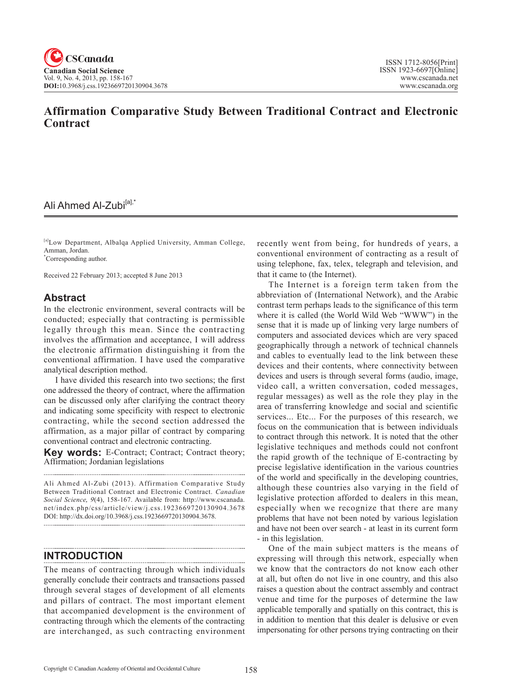# **Affirmation Comparative Study Between Traditional Contract and Electronic Contract**

# Ali Ahmed Al-Zubi<sup>[a],\*</sup>

[a]Low Department, Albalqa Applied University, Amman College, Amman, Jordan.

\* Corresponding author.

Received 22 February 2013; accepted 8 June 2013

# **Abstract**

In the electronic environment, several contracts will be conducted; especially that contracting is permissible legally through this mean. Since the contracting involves the affirmation and acceptance, I will address the electronic affirmation distinguishing it from the conventional affirmation. I have used the comparative analytical description method.

I have divided this research into two sections; the first one addressed the theory of contract, where the affirmation can be discussed only after clarifying the contract theory and indicating some specificity with respect to electronic contracting, while the second section addressed the affirmation, as a major pillar of contract by comparing conventional contract and electronic contracting.

**Key words:** E-Contract; Contract; Contract theory; Affirmation; Jordanian legislations 

Ali Ahmed Al-Zubi (2013). Affirmation Comparative Study Between Traditional Contract and Electronic Contract. *Canadian Social Science*, <sup>9</sup>(4), 158-167. Available from: http://www.cscanada. net/index.php/css/article/view/j.css.1923669720130904.3678 DOI: http://dx.doi.org/10.3968/j.css.1923669720130904.3678. 

# **INTRODUCTION**

The means of contracting through which individuals generally conclude their contracts and transactions passed through several stages of development of all elements and pillars of contract. The most important element that accompanied development is the environment of contracting through which the elements of the contracting are interchanged, as such contracting environment recently went from being, for hundreds of years, a conventional environment of contracting as a result of using telephone, fax, telex, telegraph and television, and that it came to (the Internet).

The Internet is a foreign term taken from the abbreviation of (International Network), and the Arabic contrast term perhaps leads to the significance of this term where it is called (the World Wild Web "WWW") in the sense that it is made up of linking very large numbers of computers and associated devices which are very spaced geographically through a network of technical channels and cables to eventually lead to the link between these devices and their contents, where connectivity between devices and users is through several forms (audio, image, video call, a written conversation, coded messages, regular messages) as well as the role they play in the area of transferring knowledge and social and scientific services... Etc... For the purposes of this research, we focus on the communication that is between individuals to contract through this network. It is noted that the other legislative techniques and methods could not confront the rapid growth of the technique of E-contracting by precise legislative identification in the various countries of the world and specifically in the developing countries, although these countries also varying in the field of legislative protection afforded to dealers in this mean, especially when we recognize that there are many problems that have not been noted by various legislation and have not been over search - at least in its current form - in this legislation.

One of the main subject matters is the means of expressing will through this network, especially when we know that the contractors do not know each other at all, but often do not live in one country, and this also raises a question about the contract assembly and contract venue and time for the purposes of determine the law applicable temporally and spatially on this contract, this is in addition to mention that this dealer is delusive or even impersonating for other persons trying contracting on their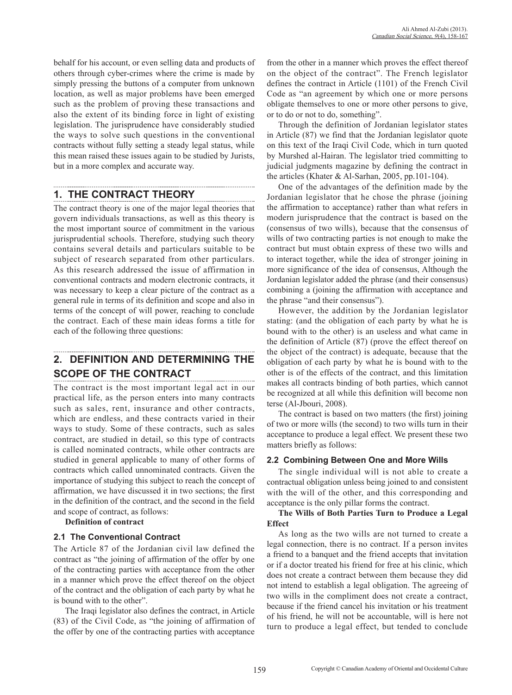behalf for his account, or even selling data and products of others through cyber-crimes where the crime is made by simply pressing the buttons of a computer from unknown location, as well as major problems have been emerged such as the problem of proving these transactions and also the extent of its binding force in light of existing legislation. The jurisprudence have considerably studied the ways to solve such questions in the conventional contracts without fully setting a steady legal status, while this mean raised these issues again to be studied by Jurists, but in a more complex and accurate way.

# **1. THE CONTRACT THEORY**

The contract theory is one of the major legal theories that govern individuals transactions, as well as this theory is the most important source of commitment in the various jurisprudential schools. Therefore, studying such theory contains several details and particulars suitable to be subject of research separated from other particulars. As this research addressed the issue of affirmation in conventional contracts and modern electronic contracts, it was necessary to keep a clear picture of the contract as a general rule in terms of its definition and scope and also in terms of the concept of will power, reaching to conclude the contract. Each of these main ideas forms a title for each of the following three questions:

# **2. DEFINITION AND DETERMINING THE SCOPE OF THE CONTRACT**

The contract is the most important legal act in our practical life, as the person enters into many contracts such as sales, rent, insurance and other contracts, which are endless, and these contracts varied in their ways to study. Some of these contracts, such as sales contract, are studied in detail, so this type of contracts is called nominated contracts, while other contracts are studied in general applicable to many of other forms of contracts which called unnominated contracts. Given the importance of studying this subject to reach the concept of affirmation, we have discussed it in two sections; the first in the definition of the contract, and the second in the field and scope of contract, as follows:

**Definition of contract**

# **2.1 The Conventional Contract**

The Article 87 of the Jordanian civil law defined the contract as "the joining of affirmation of the offer by one of the contracting parties with acceptance from the other in a manner which prove the effect thereof on the object of the contract and the obligation of each party by what he is bound with to the other".

The Iraqi legislator also defines the contract, in Article (83) of the Civil Code, as "the joining of affirmation of the offer by one of the contracting parties with acceptance from the other in a manner which proves the effect thereof on the object of the contract". The French legislator defines the contract in Article (1101) of the French Civil Code as "an agreement by which one or more persons obligate themselves to one or more other persons to give, or to do or not to do, something".

Through the definition of Jordanian legislator states in Article (87) we find that the Jordanian legislator quote on this text of the Iraqi Civil Code, which in turn quoted by Murshed al-Hairan. The legislator tried committing to judicial judgments magazine by defining the contract in the articles (Khater & Al-Sarhan, 2005, pp.101-104).

One of the advantages of the definition made by the Jordanian legislator that he chose the phrase (joining the affirmation to acceptance) rather than what refers in modern jurisprudence that the contract is based on the (consensus of two wills), because that the consensus of wills of two contracting parties is not enough to make the contract but must obtain express of these two wills and to interact together, while the idea of stronger joining in more significance of the idea of consensus, Although the Jordanian legislator added the phrase (and their consensus) combining a (joining the affirmation with acceptance and the phrase "and their consensus").

However, the addition by the Jordanian legislator stating: (and the obligation of each party by what he is bound with to the other) is an useless and what came in the definition of Article (87) (prove the effect thereof on the object of the contract) is adequate, because that the obligation of each party by what he is bound with to the other is of the effects of the contract, and this limitation makes all contracts binding of both parties, which cannot be recognized at all while this definition will become non terse (Al-Jbouri, 2008).

The contract is based on two matters (the first) joining of two or more wills (the second) to two wills turn in their acceptance to produce a legal effect. We present these two matters briefly as follows:

# **2.2 Combining Between One and More Wills**

The single individual will is not able to create a contractual obligation unless being joined to and consistent with the will of the other, and this corresponding and acceptance is the only pillar forms the contract.

# **The Wills of Both Parties Turn to Produce a Legal Effect**

As long as the two wills are not turned to create a legal connection, there is no contract. If a person invites a friend to a banquet and the friend accepts that invitation or if a doctor treated his friend for free at his clinic, which does not create a contract between them because they did not intend to establish a legal obligation. The agreeing of two wills in the compliment does not create a contract, because if the friend cancel his invitation or his treatment of his friend, he will not be accountable, will is here not turn to produce a legal effect, but tended to conclude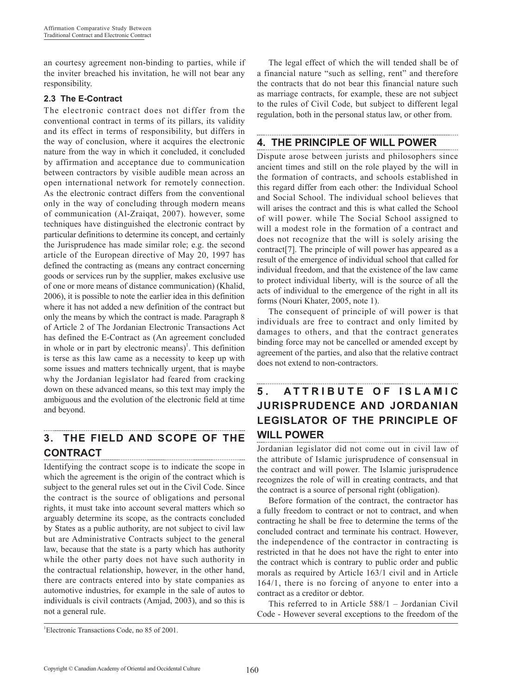an courtesy agreement non-binding to parties, while if the inviter breached his invitation, he will not bear any responsibility.

# **2.3 The E-Contract**

The electronic contract does not differ from the conventional contract in terms of its pillars, its validity and its effect in terms of responsibility, but differs in the way of conclusion, where it acquires the electronic nature from the way in which it concluded, it concluded by affirmation and acceptance due to communication between contractors by visible audible mean across an open international network for remotely connection. As the electronic contract differs from the conventional only in the way of concluding through modern means of communication (Al-Zraiqat, 2007). however, some techniques have distinguished the electronic contract by particular definitions to determine its concept, and certainly the Jurisprudence has made similar role; e.g. the second article of the European directive of May 20, 1997 has defined the contracting as (means any contract concerning goods or services run by the supplier, makes exclusive use of one or more means of distance communication) (Khalid, 2006), it is possible to note the earlier idea in this definition where it has not added a new definition of the contract but only the means by which the contract is made. Paragraph 8 of Article 2 of The Jordanian Electronic Transactions Act has defined the E-Contract as (An agreement concluded in whole or in part by electronic means)<sup>1</sup>. This definition is terse as this law came as a necessity to keep up with some issues and matters technically urgent, that is maybe why the Jordanian legislator had feared from cracking down on these advanced means, so this text may imply the ambiguous and the evolution of the electronic field at time and beyond.

# **3. THE FIELD AND SCOPE OF THE CONTRACT**

Identifying the contract scope is to indicate the scope in which the agreement is the origin of the contract which is subject to the general rules set out in the Civil Code. Since the contract is the source of obligations and personal rights, it must take into account several matters which so arguably determine its scope, as the contracts concluded by States as a public authority, are not subject to civil law but are Administrative Contracts subject to the general law, because that the state is a party which has authority while the other party does not have such authority in the contractual relationship, however, in the other hand, there are contracts entered into by state companies as automotive industries, for example in the sale of autos to individuals is civil contracts (Amjad, 2003), and so this is not a general rule.

The legal effect of which the will tended shall be of a financial nature "such as selling, rent" and therefore the contracts that do not bear this financial nature such as marriage contracts, for example, these are not subject to the rules of Civil Code, but subject to different legal regulation, both in the personal status law, or other from.

# **4. THE PRINCIPLE OF WILL POWER**

Dispute arose between jurists and philosophers since ancient times and still on the role played by the will in the formation of contracts, and schools established in this regard differ from each other: the Individual School and Social School. The individual school believes that will arises the contract and this is what called the School of will power. while The Social School assigned to will a modest role in the formation of a contract and does not recognize that the will is solely arising the contract[7]. The principle of will power has appeared as a result of the emergence of individual school that called for individual freedom, and that the existence of the law came to protect individual liberty, will is the source of all the acts of individual to the emergence of the right in all its forms (Nouri Khater, 2005, note 1).

The consequent of principle of will power is that individuals are free to contract and only limited by damages to others, and that the contract generates binding force may not be cancelled or amended except by agreement of the parties, and also that the relative contract does not extend to non-contractors.

# **5 . A T T R I B U T E O F I S L A M I C JURISPRUDENCE AND JORDANIAN LEGISLATOR OF THE PRINCIPLE OF WILL POWER**

Jordanian legislator did not come out in civil law of the attribute of Islamic jurisprudence of consensual in the contract and will power. The Islamic jurisprudence recognizes the role of will in creating contracts, and that the contract is a source of personal right (obligation).

Before formation of the contract, the contractor has a fully freedom to contract or not to contract, and when contracting he shall be free to determine the terms of the concluded contract and terminate his contract. However, the independence of the contractor in contracting is restricted in that he does not have the right to enter into the contract which is contrary to public order and public morals as required by Article 163/1 civil and in Article 164/1, there is no forcing of anyone to enter into a contract as a creditor or debtor.

This referred to in Article 588/1 – Jordanian Civil Code - However several exceptions to the freedom of the

<sup>1</sup> Electronic Transactions Code, no 85 of 2001.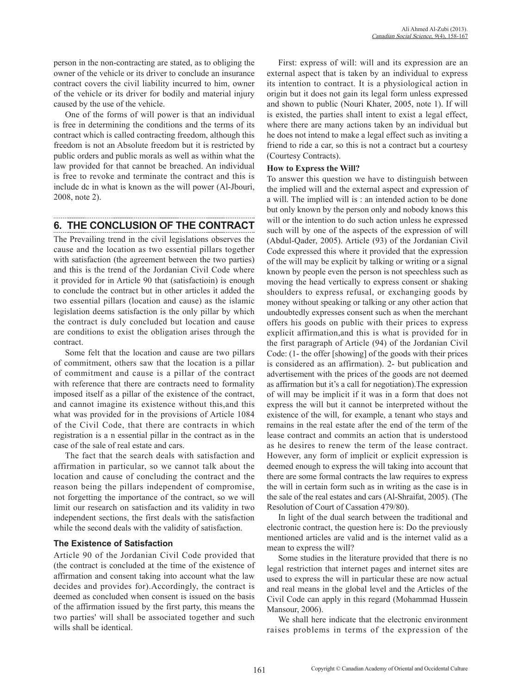person in the non-contracting are stated, as to obliging the owner of the vehicle or its driver to conclude an insurance contract covers the civil liability incurred to him, owner of the vehicle or its driver for bodily and material injury caused by the use of the vehicle.

One of the forms of will power is that an individual is free in determining the conditions and the terms of its contract which is called contracting freedom, although this freedom is not an Absolute freedom but it is restricted by public orders and public morals as well as within what the law provided for that cannot be breached. An individual is free to revoke and terminate the contract and this is include dc in what is known as the will power (Al-Jbouri, 2008, note 2).

# **6. THE CONCLUSION OF THE CONTRACT**

The Prevailing trend in the civil legislations observes the cause and the location as two essential pillars together with satisfaction (the agreement between the two parties) and this is the trend of the Jordanian Civil Code where it provided for in Article 90 that (satisfactioin) is enough to conclude the contract but in other articles it added the two essential pillars (location and cause) as the islamic legislation deems satisfaction is the only pillar by which the contract is duly concluded but location and cause are conditions to exist the obligation arises through the contract.

Some felt that the location and cause are two pillars of commitment, others saw that the location is a pillar of commitment and cause is a pillar of the contract with reference that there are contracts need to formality imposed itself as a pillar of the existence of the contract, and cannot imagine its existence without this,and this what was provided for in the provisions of Article 1084 of the Civil Code, that there are contracts in which registration is a n essential pillar in the contract as in the case of the sale of real estate and cars.

The fact that the search deals with satisfaction and affirmation in particular, so we cannot talk about the location and cause of concluding the contract and the reason being the pillars independent of compromise, not forgetting the importance of the contract, so we will limit our research on satisfaction and its validity in two independent sections, the first deals with the satisfaction while the second deals with the validity of satisfaction.

# **The Existence of Satisfaction**

Article 90 of the Jordanian Civil Code provided that (the contract is concluded at the time of the existence of affirmation and consent taking into account what the law decides and provides for).Accordingly, the contract is deemed as concluded when consent is issued on the basis of the affirmation issued by the first party, this means the two parties' will shall be associated together and such wills shall be identical.

First: express of will: will and its expression are an external aspect that is taken by an individual to express its intention to contract. It is a physiological action in origin but it does not gain its legal form unless expressed and shown to public (Nouri Khater, 2005, note 1). If will is existed, the parties shall intent to exist a legal effect, where there are many actions taken by an individual but he does not intend to make a legal effect such as inviting a friend to ride a car, so this is not a contract but a courtesy (Courtesy Contracts).

# **How to Express the Will?**

To answer this question we have to distinguish between the implied will and the external aspect and expression of a will. The implied will is : an intended action to be done but only known by the person only and nobody knows this will or the intention to do such action unless he expressed such will by one of the aspects of the expression of will (Abdul-Qader, 2005). Article (93) of the Jordanian Civil Code expressed this where it provided that the expression of the will may be explicit by talking or writing or a signal known by people even the person is not speechless such as moving the head vertically to express consent or shaking shoulders to express refusal, or exchanging goods by money without speaking or talking or any other action that undoubtedly expresses consent such as when the merchant offers his goods on public with their prices to express explicit affirmation,and this is what is provided for in the first paragraph of Article (94) of the Jordanian Civil Code: (1- the offer [showing] of the goods with their prices is considered as an affirmation). 2- but publication and advertisement with the prices of the goods are not deemed as affirmation but it's a call for negotiation).The expression of will may be implicit if it was in a form that does not express the will but it cannot be interpreted without the existence of the will, for example, a tenant who stays and remains in the real estate after the end of the term of the lease contract and commits an action that is understood as he desires to renew the term of the lease contract. However, any form of implicit or explicit expression is deemed enough to express the will taking into account that there are some formal contracts the law requires to express the will in certain form such as in writing as the case is in the sale of the real estates and cars (Al-Shraifat, 2005). (The Resolution of Court of Cassation 479/80).

In light of the dual search between the traditional and electronic contract, the question here is: Do the previously mentioned articles are valid and is the internet valid as a mean to express the will?

Some studies in the literature provided that there is no legal restriction that internet pages and internet sites are used to express the will in particular these are now actual and real means in the global level and the Articles of the Civil Code can apply in this regard (Mohammad Hussein Mansour, 2006).

We shall here indicate that the electronic environment raises problems in terms of the expression of the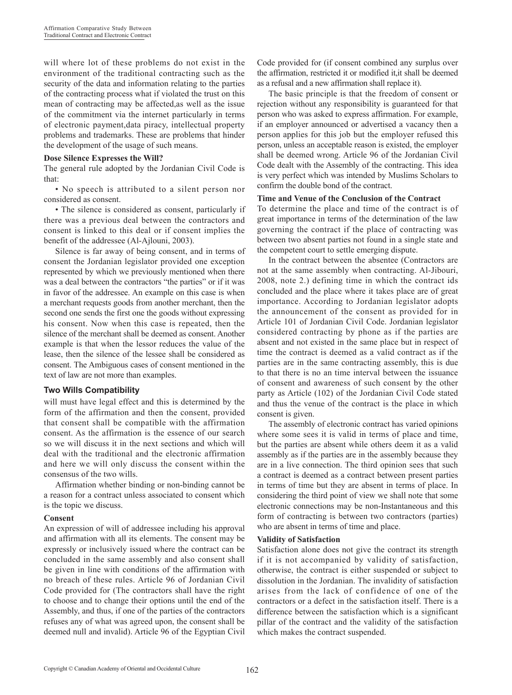will where lot of these problems do not exist in the environment of the traditional contracting such as the security of the data and information relating to the parties of the contracting process what if violated the trust on this mean of contracting may be affected,as well as the issue of the commitment via the internet particularly in terms of electronic payment,data piracy, intellectual property problems and trademarks. These are problems that hinder the development of the usage of such means.

### **Dose Silence Expresses the Will?**

The general rule adopted by the Jordanian Civil Code is that:

• No speech is attributed to a silent person nor considered as consent.

• The silence is considered as consent, particularly if there was a previous deal between the contractors and consent is linked to this deal or if consent implies the benefit of the addressee (Al-Ajlouni, 2003).

Silence is far away of being consent, and in terms of consent the Jordanian legislator provided one exception represented by which we previously mentioned when there was a deal between the contractors "the parties" or if it was in favor of the addressee. An example on this case is when a merchant requests goods from another merchant, then the second one sends the first one the goods without expressing his consent. Now when this case is repeated, then the silence of the merchant shall be deemed as consent. Another example is that when the lessor reduces the value of the lease, then the silence of the lessee shall be considered as consent. The Ambiguous cases of consent mentioned in the text of law are not more than examples.

# **Two Wills Compatibility**

will must have legal effect and this is determined by the form of the affirmation and then the consent, provided that consent shall be compatible with the affirmation consent. As the affirmation is the essence of our search so we will discuss it in the next sections and which will deal with the traditional and the electronic affirmation and here we will only discuss the consent within the consensus of the two wills.

Affirmation whether binding or non-binding cannot be a reason for a contract unless associated to consent which is the topic we discuss.

### **Consent**

An expression of will of addressee including his approval and affirmation with all its elements. The consent may be expressly or inclusively issued where the contract can be concluded in the same assembly and also consent shall be given in line with conditions of the affirmation with no breach of these rules. Article 96 of Jordanian Civil Code provided for (The contractors shall have the right to choose and to change their options until the end of the Assembly, and thus, if one of the parties of the contractors refuses any of what was agreed upon, the consent shall be deemed null and invalid). Article 96 of the Egyptian Civil Code provided for (if consent combined any surplus over the affirmation, restricted it or modified it,it shall be deemed as a refusal and a new affirmation shall replace it).

The basic principle is that the freedom of consent or rejection without any responsibility is guaranteed for that person who was asked to express affirmation. For example, if an employer announced or advertised a vacancy then a person applies for this job but the employer refused this person, unless an acceptable reason is existed, the employer shall be deemed wrong. Article 96 of the Jordanian Civil Code dealt with the Assembly of the contracting. This idea is very perfect which was intended by Muslims Scholars to confirm the double bond of the contract.

### **Time and Venue of the Conclusion of the Contract**

To determine the place and time of the contract is of great importance in terms of the determination of the law governing the contract if the place of contracting was between two absent parties not found in a single state and the competent court to settle emerging dispute.

In the contract between the absentee (Contractors are not at the same assembly when contracting. Al-Jibouri, 2008, note 2.) defining time in which the contract ids concluded and the place where it takes place are of great importance. According to Jordanian legislator adopts the announcement of the consent as provided for in Article 101 of Jordanian Civil Code. Jordanian legislator considered contracting by phone as if the parties are absent and not existed in the same place but in respect of time the contract is deemed as a valid contract as if the parties are in the same contracting assembly, this is due to that there is no an time interval between the issuance of consent and awareness of such consent by the other party as Article (102) of the Jordanian Civil Code stated and thus the venue of the contract is the place in which consent is given.

The assembly of electronic contract has varied opinions where some sees it is valid in terms of place and time, but the parties are absent while others deem it as a valid assembly as if the parties are in the assembly because they are in a live connection. The third opinion sees that such a contract is deemed as a contract between present parties in terms of time but they are absent in terms of place. In considering the third point of view we shall note that some electronic connections may be non-Instantaneous and this form of contracting is between two contractors (parties) who are absent in terms of time and place.

### **Validity of Satisfaction**

Satisfaction alone does not give the contract its strength if it is not accompanied by validity of satisfaction, otherwise, the contract is either suspended or subject to dissolution in the Jordanian. The invalidity of satisfaction arises from the lack of confidence of one of the contractors or a defect in the satisfaction itself. There is a difference between the satisfaction which is a significant pillar of the contract and the validity of the satisfaction which makes the contract suspended.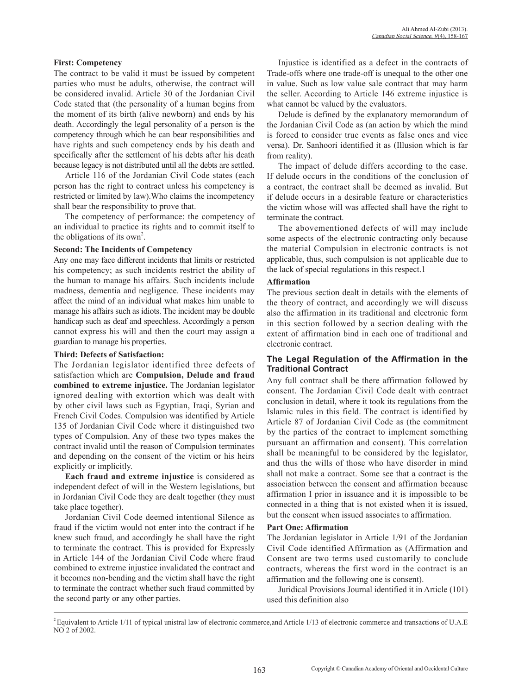### **First: Competency**

The contract to be valid it must be issued by competent parties who must be adults, otherwise, the contract will be considered invalid. Article 30 of the Jordanian Civil Code stated that (the personality of a human begins from the moment of its birth (alive newborn) and ends by his death. Accordingly the legal personality of a person is the competency through which he can bear responsibilities and have rights and such competency ends by his death and specifically after the settlement of his debts after his death because legacy is not distributed until all the debts are settled.

Article 116 of the Jordanian Civil Code states (each person has the right to contract unless his competency is restricted or limited by law).Who claims the incompetency shall bear the responsibility to prove that.

The competency of performance: the competency of an individual to practice its rights and to commit itself to the obligations of its own<sup>2</sup>.

#### **Second: The Incidents of Competency**

Any one may face different incidents that limits or restricted his competency; as such incidents restrict the ability of the human to manage his affairs. Such incidents include madness, dementia and negligence. These incidents may affect the mind of an individual what makes him unable to manage his affairs such as idiots. The incident may be double handicap such as deaf and speechless. Accordingly a person cannot express his will and then the court may assign a guardian to manage his properties.

#### **Third: Defects of Satisfaction:**

The Jordanian legislator identified three defects of satisfaction which are **Compulsion, Delude and fraud combined to extreme injustice.** The Jordanian legislator ignored dealing with extortion which was dealt with by other civil laws such as Egyptian, Iraqi, Syrian and French Civil Codes. Compulsion was identified by Article 135 of Jordanian Civil Code where it distinguished two types of Compulsion. Any of these two types makes the contract invalid until the reason of Compulsion terminates and depending on the consent of the victim or his heirs explicitly or implicitly.

**Each fraud and extreme injustice** is considered as independent defect of will in the Western legislations, but in Jordanian Civil Code they are dealt together (they must take place together).

Jordanian Civil Code deemed intentional Silence as fraud if the victim would not enter into the contract if he knew such fraud, and accordingly he shall have the right to terminate the contract. This is provided for Expressly in Article 144 of the Jordanian Civil Code where fraud combined to extreme injustice invalidated the contract and it becomes non-bending and the victim shall have the right to terminate the contract whether such fraud committed by the second party or any other parties.

Injustice is identified as a defect in the contracts of Trade-offs where one trade-off is unequal to the other one in value. Such as low value sale contract that may harm the seller. According to Article 146 extreme injustice is what cannot be valued by the evaluators.

Delude is defined by the explanatory memorandum of the Jordanian Civil Code as (an action by which the mind is forced to consider true events as false ones and vice versa). Dr. Sanhoori identified it as (Illusion which is far from reality).

The impact of delude differs according to the case. If delude occurs in the conditions of the conclusion of a contract, the contract shall be deemed as invalid. But if delude occurs in a desirable feature or characteristics the victim whose will was affected shall have the right to terminate the contract.

The abovementioned defects of will may include some aspects of the electronic contracting only because the material Compulsion in electronic contracts is not applicable, thus, such compulsion is not applicable due to the lack of special regulations in this respect.1

#### **Affirmation**

The previous section dealt in details with the elements of the theory of contract, and accordingly we will discuss also the affirmation in its traditional and electronic form in this section followed by a section dealing with the extent of affirmation bind in each one of traditional and electronic contract.

### **The Legal Regulation of the Affirmation in the Traditional Contract**

Any full contract shall be there affirmation followed by consent. The Jordanian Civil Code dealt with contract conclusion in detail, where it took its regulations from the Islamic rules in this field. The contract is identified by Article 87 of Jordanian Civil Code as (the commitment by the parties of the contract to implement something pursuant an affirmation and consent). This correlation shall be meaningful to be considered by the legislator, and thus the wills of those who have disorder in mind shall not make a contract. Some see that a contract is the association between the consent and affirmation because affirmation I prior in issuance and it is impossible to be connected in a thing that is not existed when it is issued, but the consent when issued associates to affirmation.

#### **Part One: Affirmation**

The Jordanian legislator in Article 1/91 of the Jordanian Civil Code identified Affirmation as (Affirmation and Consent are two terms used customarily to conclude contracts, whereas the first word in the contract is an affirmation and the following one is consent).

Juridical Provisions Journal identified it in Article (101) used this definition also

 $2$  Equivalent to Article 1/11 of typical unistral law of electronic commerce, and Article 1/13 of electronic commerce and transactions of U.A.E NO 2 of 2002.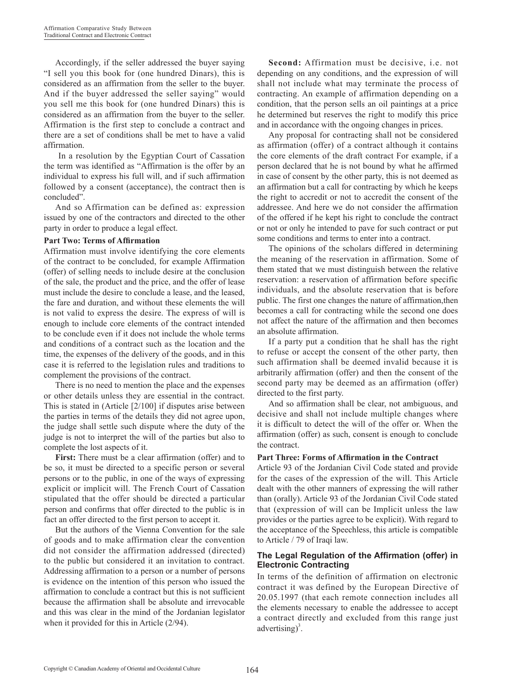Accordingly, if the seller addressed the buyer saying "I sell you this book for (one hundred Dinars), this is considered as an affirmation from the seller to the buyer. And if the buyer addressed the seller saying" would you sell me this book for (one hundred Dinars) this is considered as an affirmation from the buyer to the seller. Affirmation is the first step to conclude a contract and there are a set of conditions shall be met to have a valid affirmation.

 In a resolution by the Egyptian Court of Cassation the term was identified as "Affirmation is the offer by an individual to express his full will, and if such affirmation followed by a consent (acceptance), the contract then is concluded".

And so Affirmation can be defined as: expression issued by one of the contractors and directed to the other party in order to produce a legal effect.

### **Part Two: Terms of Affirmation**

Affirmation must involve identifying the core elements of the contract to be concluded, for example Affirmation (offer) of selling needs to include desire at the conclusion of the sale, the product and the price, and the offer of lease must include the desire to conclude a lease, and the leased, the fare and duration, and without these elements the will is not valid to express the desire. The express of will is enough to include core elements of the contract intended to be conclude even if it does not include the whole terms and conditions of a contract such as the location and the time, the expenses of the delivery of the goods, and in this case it is referred to the legislation rules and traditions to complement the provisions of the contract.

There is no need to mention the place and the expenses or other details unless they are essential in the contract. This is stated in (Article [2/100] if disputes arise between the parties in terms of the details they did not agree upon, the judge shall settle such dispute where the duty of the judge is not to interpret the will of the parties but also to complete the lost aspects of it.

**First:** There must be a clear affirmation (offer) and to be so, it must be directed to a specific person or several persons or to the public, in one of the ways of expressing explicit or implicit will. The French Court of Cassation stipulated that the offer should be directed a particular person and confirms that offer directed to the public is in fact an offer directed to the first person to accept it.

But the authors of the Vienna Convention for the sale of goods and to make affirmation clear the convention did not consider the affirmation addressed (directed) to the public but considered it an invitation to contract. Addressing affirmation to a person or a number of persons is evidence on the intention of this person who issued the affirmation to conclude a contract but this is not sufficient because the affirmation shall be absolute and irrevocable and this was clear in the mind of the Jordanian legislator when it provided for this in Article (2/94).

**Second:** Affirmation must be decisive, i.e. not depending on any conditions, and the expression of will shall not include what may terminate the process of contracting. An example of affirmation depending on a condition, that the person sells an oil paintings at a price he determined but reserves the right to modify this price and in accordance with the ongoing changes in prices.

Any proposal for contracting shall not be considered as affirmation (offer) of a contract although it contains the core elements of the draft contract For example, if a person declared that he is not bound by what he affirmed in case of consent by the other party, this is not deemed as an affirmation but a call for contracting by which he keeps the right to accredit or not to accredit the consent of the addressee. And here we do not consider the affirmation of the offered if he kept his right to conclude the contract or not or only he intended to pave for such contract or put some conditions and terms to enter into a contract.

The opinions of the scholars differed in determining the meaning of the reservation in affirmation. Some of them stated that we must distinguish between the relative reservation: a reservation of affirmation before specific individuals, and the absolute reservation that is before public. The first one changes the nature of affirmation,then becomes a call for contracting while the second one does not affect the nature of the affirmation and then becomes an absolute affirmation.

If a party put a condition that he shall has the right to refuse or accept the consent of the other party, then such affirmation shall be deemed invalid because it is arbitrarily affirmation (offer) and then the consent of the second party may be deemed as an affirmation (offer) directed to the first party.

And so affirmation shall be clear, not ambiguous, and decisive and shall not include multiple changes where it is difficult to detect the will of the offer or. When the affirmation (offer) as such, consent is enough to conclude the contract.

### **Part Three: Forms of Affirmation in the Contract**

Article 93 of the Jordanian Civil Code stated and provide for the cases of the expression of the will. This Article dealt with the other manners of expressing the will rather than (orally). Article 93 of the Jordanian Civil Code stated that (expression of will can be Implicit unless the law provides or the parties agree to be explicit). With regard to the acceptance of the Speechless, this article is compatible to Article / 79 of Iraqi law.

### **The Legal Regulation of the Affirmation (offer) in Electronic Contracting**

In terms of the definition of affirmation on electronic contract it was defined by the European Directive of 20.05.1997 (that each remote connection includes all the elements necessary to enable the addressee to accept a contract directly and excluded from this range just advertising)<sup>3</sup>.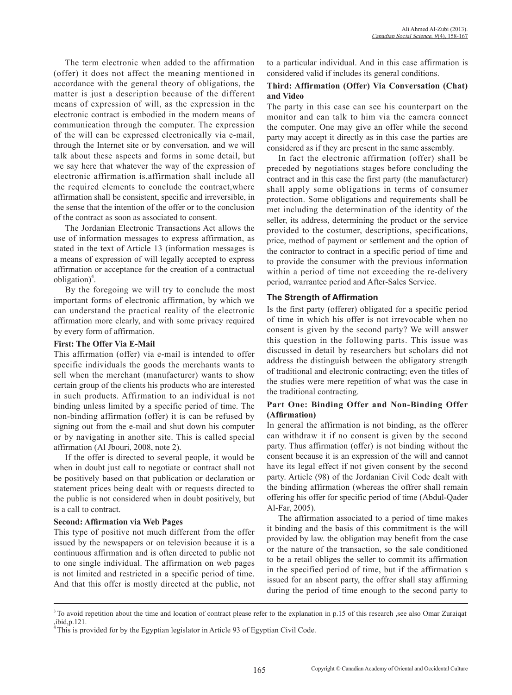The term electronic when added to the affirmation (offer) it does not affect the meaning mentioned in accordance with the general theory of obligations, the matter is just a description because of the different means of expression of will, as the expression in the electronic contract is embodied in the modern means of communication through the computer. The expression of the will can be expressed electronically via e-mail, through the Internet site or by conversation. and we will talk about these aspects and forms in some detail, but we say here that whatever the way of the expression of electronic affirmation is,affirmation shall include all the required elements to conclude the contract,where affirmation shall be consistent, specific and irreversible, in the sense that the intention of the offer or to the conclusion of the contract as soon as associated to consent.

The Jordanian Electronic Transactions Act allows the use of information messages to express affirmation, as stated in the text of Article 13 (information messages is a means of expression of will legally accepted to express affirmation or acceptance for the creation of a contractual obligation $)^4$ .

By the foregoing we will try to conclude the most important forms of electronic affirmation, by which we can understand the practical reality of the electronic affirmation more clearly, and with some privacy required by every form of affirmation.

### **First: The Offer Via E-Mail**

This affirmation (offer) via e-mail is intended to offer specific individuals the goods the merchants wants to sell when the merchant (manufacturer) wants to show certain group of the clients his products who are interested in such products. Affirmation to an individual is not binding unless limited by a specific period of time. The non-binding affirmation (offer) it is can be refused by signing out from the e-mail and shut down his computer or by navigating in another site. This is called special affirmation (Al Jbouri, 2008, note 2).

If the offer is directed to several people, it would be when in doubt just call to negotiate or contract shall not be positively based on that publication or declaration or statement prices being dealt with or requests directed to the public is not considered when in doubt positively, but is a call to contract.

# **Second: Affirmation via Web Pages**

This type of positive not much different from the offer issued by the newspapers or on television because it is a continuous affirmation and is often directed to public not to one single individual. The affirmation on web pages is not limited and restricted in a specific period of time. And that this offer is mostly directed at the public, not

to a particular individual. And in this case affirmation is considered valid if includes its general conditions.

# **Third: Affirmation (Offer) Via Conversation (Chat) and Video**

The party in this case can see his counterpart on the monitor and can talk to him via the camera connect the computer. One may give an offer while the second party may accept it directly as in this case the parties are considered as if they are present in the same assembly.

In fact the electronic affirmation (offer) shall be preceded by negotiations stages before concluding the contract and in this case the first party (the manufacturer) shall apply some obligations in terms of consumer protection. Some obligations and requirements shall be met including the determination of the identity of the seller, its address, determining the product or the service provided to the costumer, descriptions, specifications, price, method of payment or settlement and the option of the contractor to contract in a specific period of time and to provide the consumer with the previous information within a period of time not exceeding the re-delivery period, warrantee period and After-Sales Service.

# **The Strength of Affirmation**

Is the first party (offerer) obligated for a specific period of time in which his offer is not irrevocable when no consent is given by the second party? We will answer this question in the following parts. This issue was discussed in detail by researchers but scholars did not address the distinguish between the obligatory strength of traditional and electronic contracting; even the titles of the studies were mere repetition of what was the case in the traditional contracting.

# **Part One: Binding Offer and Non-Binding Offer (Affirmation)**

In general the affirmation is not binding, as the offerer can withdraw it if no consent is given by the second party. Thus affirmation (offer) is not binding without the consent because it is an expression of the will and cannot have its legal effect if not given consent by the second party. Article (98) of the Jordanian Civil Code dealt with the binding affirmation (whereas the offrer shall remain offering his offer for specific period of time (Abdul-Qader Al-Far, 2005).

The affirmation associated to a period of time makes it binding and the basis of this commitment is the will provided by law. the obligation may benefit from the case or the nature of the transaction, so the sale conditioned to be a retail obliges the seller to commit its affirmation in the specified period of time, but if the affirmation s issued for an absent party, the offrer shall stay affirming during the period of time enough to the second party to

<sup>&</sup>lt;sup>3</sup> To avoid repetition about the time and location of contract please refer to the explanation in p.15 of this research ,see also Omar Zuraiqat ,ibid,p.121.

 $4$ This is provided for by the Egyptian legislator in Article 93 of Egyptian Civil Code.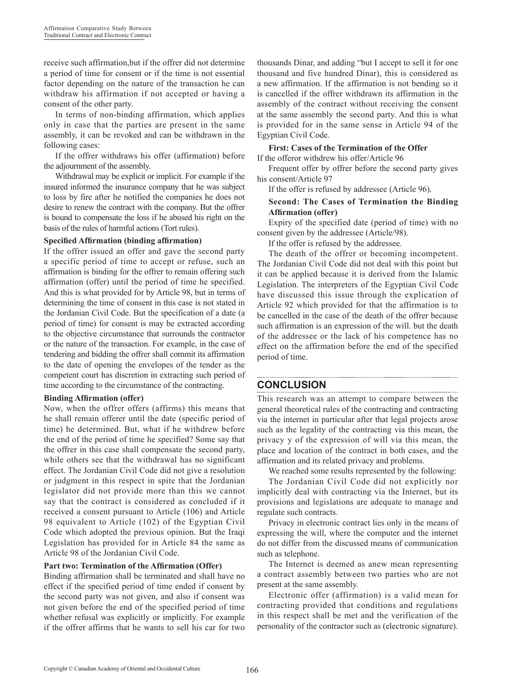receive such affirmation,but if the offrer did not determine a period of time for consent or if the time is not essential factor depending on the nature of the transaction he can withdraw his affirmation if not accepted or having a consent of the other party.

In terms of non-binding affirmation, which applies only in case that the parties are present in the same assembly, it can be revoked and can be withdrawn in the following cases:

If the offrer withdraws his offer (affirmation) before the adjournment of the assembly.

Withdrawal may be explicit or implicit. For example if the insured informed the insurance company that he was subject to loss by fire after he notified the companies he does not desire to renew the contract with the company. But the offrer is bound to compensate the loss if he abused his right on the basis of the rules of harmful actions (Tort rules).

### **Specified Affirmation (binding affirmation)**

If the offrer issued an offer and gave the second party a specific period of time to accept or refuse, such an affirmation is binding for the offrer to remain offering such affirmation (offer) until the period of time he specified. And this is what provided for by Article 98, but in terms of determining the time of consent in this case is not stated in the Jordanian Civil Code. But the specification of a date (a period of time) for consent is may be extracted according to the objective circumstance that surrounds the contractor or the nature of the transaction. For example, in the case of tendering and bidding the offrer shall commit its affirmation to the date of opening the envelopes of the tender as the competent court has discretion in extracting such period of time according to the circumstance of the contracting.

### **Binding Affirmation (offer)**

Now, when the offrer offers (affirms) this means that he shall remain offerer until the date (specific period of time) he determined. But, what if he withdrew before the end of the period of time he specified? Some say that the offrer in this case shall compensate the second party, while others see that the withdrawal has no significant effect. The Jordanian Civil Code did not give a resolution or judgment in this respect in spite that the Jordanian legislator did not provide more than this we cannot say that the contract is considered as concluded if it received a consent pursuant to Article (106) and Article 98 equivalent to Article (102) of the Egyptian Civil Code which adopted the previous opinion. But the Iraqi Legislation has provided for in Article 84 the same as Article 98 of the Jordanian Civil Code.

# **Part two: Termination of the Affirmation (Offer)**

Binding affirmation shall be terminated and shall have no effect if the specified period of time ended if consent by the second party was not given, and also if consent was not given before the end of the specified period of time whether refusal was explicitly or implicitly. For example if the offrer affirms that he wants to sell his car for two

thousands Dinar, and adding "but I accept to sell it for one thousand and five hundred Dinar), this is considered as a new affirmation. If the affirmation is not bending so it is cancelled if the offrer withdrawn its affirmation in the assembly of the contract without receiving the consent at the same assembly the second party. And this is what is provided for in the same sense in Article 94 of the Egyptian Civil Code.

## **First: Cases of the Termination of the Offer**

If the offeror withdrew his offer/Article 96

Frequent offer by offrer before the second party gives his consent/Article 97

If the offer is refused by addressee (Article 96).

### **Second: The Cases of Termination the Binding Affirmation (offer)**

Expiry of the specified date (period of time) with no consent given by the addressee (Article/98).

If the offer is refused by the addressee.

The death of the offrer or becoming incompetent. The Jordanian Civil Code did not deal with this point but it can be applied because it is derived from the Islamic Legislation. The interpreters of the Egyptian Civil Code have discussed this issue through the explication of Article 92 which provided for that the affirmation is to be cancelled in the case of the death of the offrer because such affirmation is an expression of the will. but the death of the addressee or the lack of his competence has no effect on the affirmation before the end of the specified period of time.

# **CONCLUSION**

This research was an attempt to compare between the general theoretical rules of the contracting and contracting via the internet in particular after that legal projects arose such as the legality of the contracting via this mean, the privacy y of the expression of will via this mean, the place and location of the contract in both cases, and the affirmation and its related privacy and problems.

We reached some results represented by the following:

The Jordanian Civil Code did not explicitly nor implicitly deal with contracting via the Internet, but its provisions and legislations are adequate to manage and regulate such contracts.

Privacy in electronic contract lies only in the means of expressing the will, where the computer and the internet do not differ from the discussed means of communication such as telephone.

The Internet is deemed as anew mean representing a contract assembly between two parties who are not present at the same assembly.

Electronic offer (affirmation) is a valid mean for contracting provided that conditions and regulations in this respect shall be met and the verification of the personality of the contractor such as (electronic signature).